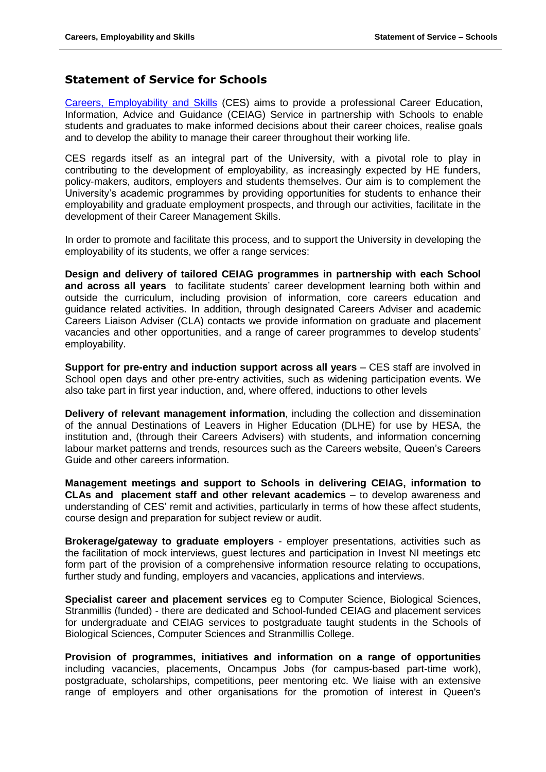## **Statement of Service for Schools**

[Careers, Employability and Skills](http://www.qub.ac.uk/careers)</u> (CES) aims to provide a professional Career Education. Information, Advice and Guidance (CEIAG) Service in partnership with Schools to enable students and graduates to make informed decisions about their career choices, realise goals and to develop the ability to manage their career throughout their working life.

CES regards itself as an integral part of the University, with a pivotal role to play in contributing to the development of employability, as increasingly expected by HE funders, policy-makers, auditors, employers and students themselves. Our aim is to complement the University's academic programmes by providing opportunities for students to enhance their employability and graduate employment prospects, and through our activities, facilitate in the development of their Career Management Skills.

In order to promote and facilitate this process, and to support the University in developing the employability of its students, we offer a range services:

**Design and delivery of tailored CEIAG programmes in partnership with each School and across all years** to facilitate students' career development learning both within and outside the curriculum, including provision of information, core careers education and guidance related activities. In addition, through designated Careers Adviser and academic Careers Liaison Adviser (CLA) contacts we provide information on graduate and placement vacancies and other opportunities, and a range of career programmes to develop students' employability.

**Support for pre-entry and induction support across all years** – CES staff are involved in School open days and other pre-entry activities, such as widening participation events. We also take part in first year induction, and, where offered, inductions to other levels

**Delivery of relevant management information**, including the collection and dissemination of the annual Destinations of Leavers in Higher Education (DLHE) for use by HESA, the institution and, (through their Careers Advisers) with students, and information concerning labour market patterns and trends, resources such as the Careers website, Queen's Careers Guide and other careers information.

**Management meetings and support to Schools in delivering CEIAG, information to CLAs and placement staff and other relevant academics** – to develop awareness and understanding of CES' remit and activities, particularly in terms of how these affect students, course design and preparation for subject review or audit.

**Brokerage/gateway to graduate employers** - employer presentations, activities such as the facilitation of mock interviews, guest lectures and participation in Invest NI meetings etc form part of the provision of a comprehensive information resource relating to occupations, further study and funding, employers and vacancies, applications and interviews.

**Specialist career and placement services** eg to Computer Science, Biological Sciences, Stranmillis (funded) - there are dedicated and School-funded CEIAG and placement services for undergraduate and CEIAG services to postgraduate taught students in the Schools of Biological Sciences, Computer Sciences and Stranmillis College.

**Provision of programmes, initiatives and information on a range of opportunities** including vacancies, placements, Oncampus Jobs (for campus-based part-time work), postgraduate, scholarships, competitions, peer mentoring etc. We liaise with an extensive range of employers and other organisations for the promotion of interest in Queen's